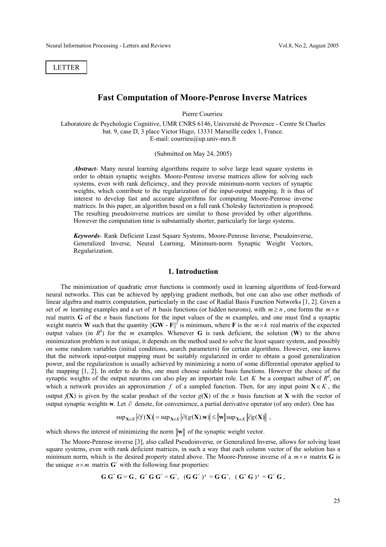LETTER

# **Fast Computation of Moore-Penrose Inverse Matrices**

Pierre Courrieu

Laboratoire de Psychologie Cognitive, UMR CNRS 6146, Université de Provence - Centre St Charles bat. 9, case D, 3 place Victor Hugo, 13331 Marseille cedex 1, France. E-mail: courrieu@up.univ-mrs.fr

(Submitted on May 24, 2005)

*Abstract*- Many neural learning algorithms require to solve large least square systems in order to obtain synaptic weights. Moore-Penrose inverse matrices allow for solving such systems, even with rank deficiency, and they provide minimum-norm vectors of synaptic weights, which contribute to the regularization of the input-output mapping. It is thus of interest to develop fast and accurate algorithms for computing Moore-Penrose inverse matrices. In this paper, an algorithm based on a full rank Cholesky factorization is proposed. The resulting pseudoinverse matrices are similar to those provided by other algorithms. However the computation time is substantially shorter, particularly for large systems.

*Keywords*- Rank Deficient Least Square Systems, Moore-Penrose Inverse, Pseudoinverse, Generalized Inverse, Neural Learning, Minimum-norm Synaptic Weight Vectors, Regularization.

#### **1. Introduction**

The minimization of quadratic error functions is commonly used in learning algorithms of feed-forward neural networks. This can be achieved by applying gradient methods, but one can also use other methods of linear algebra and matrix computation, particularly in the case of Radial Basis Function Networks [1, 2]. Given a set of *m* learning examples and a set of *n* basis functions (or hidden neurons), with  $m \ge n$ , one forms the  $m \times n$ real matrix **G** of the *n* basis functions for the input values of the *m* examples, and one must find a synaptic weight matrix **W** such that the quantity  $||GW - F||^2$  is minimum, where **F** is the  $m \times k$  real matrix of the expected output values (in  $R^k$ ) for the *m* examples. Whenever **G** is rank deficient, the solution (**W**) to the above minimization problem is not unique, it depends on the method used to solve the least square system, and possibly on some random variables (initial conditions, search parameters) for certain algorithms. However, one knows that the network input-output mapping must be suitably regularized in order to obtain a good generalization power, and the regularization is usually achieved by minimizing a norm of some differential operator applied to the mapping [1, 2]. In order to do this, one must choose suitable basis functions. However the choice of the synaptic weights of the output neurons can also play an important role. Let *K* be a compact subset of  $R<sup>d</sup>$ , on which a network provides an approximation *f* of a sampled function. Then, for any input point **X**∈ *K* , the output  $f(X)$  is given by the scalar product of the vector  $g(X)$  of the *n* basis function at X with the vector of output synaptic weights **w**. Let ∂ denote, for convenience, a partial derivative operator (of any order). One has

$$
\sup\nolimits_{\mathbf{X}\in K} \left|\partial f(\mathbf{X})\right| = \sup\nolimits_{\mathbf{X}\in K} \left|\partial (g(\mathbf{X}).\mathbf{w})\right| \leq \left\|\mathbf{w}\right\|\sup\nolimits_{\mathbf{X}\in K} \left\|\partial g(\mathbf{X})\right\|,
$$

which shows the interest of minimizing the norm  $\|\mathbf{w}\|$  of the synaptic weight vector.

The Moore-Penrose inverse [3], also called Pseudoinverse, or Generalized Inverse, allows for solving least square systems, even with rank deficient matrices, in such a way that each column vector of the solution has a minimum norm, which is the desired property stated above. The Moore-Penrose inverse of a  $m \times n$  matrix **G** is the unique  $n \times m$  matrix  $G^+$  with the following four properties:

$$
G G^+ G = G, G^+ G G^+ = G^+, (G G^+)' = G G^+, (G^+ G)' = G^+ G,
$$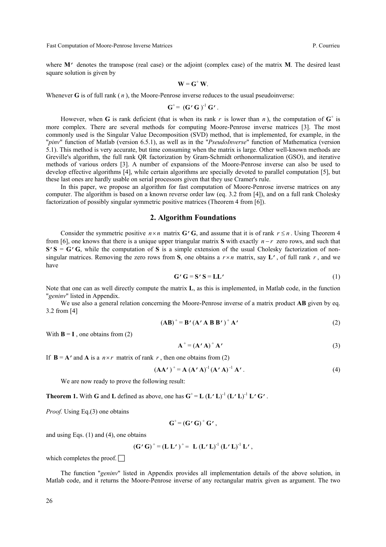Fast Computation of Moore-Penrose Inverse Matrices **P. Courrieu** P. Courrieu

where **M**<sup>'</sup> denotes the transpose (real case) or the adjoint (complex case) of the matrix **M**. The desired least square solution is given by

$$
\mathbf{W} = \mathbf{G}^+ \, \mathbf{W}.
$$

Whenever **G** is of full rank  $(n)$ , the Moore-Penrose inverse reduces to the usual pseudoinverse:

$$
\mathbf{G}^+ = (\mathbf{G}' \mathbf{G})^{-1} \mathbf{G}'.
$$

However, when **G** is rank deficient (that is when its rank *r* is lower than *n*), the computation of  $G^+$  is more complex. There are several methods for computing Moore-Penrose inverse matrices [3]. The most commonly used is the Singular Value Decomposition (SVD) method, that is implemented, for example, in the "*pinv*" function of Matlab (version 6.5.1), as well as in the "*PseudoInverse*" function of Mathematica (version  $\overline{5.1}$ ). This method is very accurate, but time consuming when the matrix is large. Other well-known methods are Greville's algorithm, the full rank QR factorization by Gram-Schmidt orthonormalization (GSO), and iterative methods of various orders [3]. A number of expansions of the Moore-Penrose inverse can also be used to develop effective algorithms [4], while certain algorithms are specially devoted to parallel computation [5], but these last ones are hardly usable on serial processors given that they use Cramer's rule.

In this paper, we propose an algorithm for fast computation of Moore-Penrose inverse matrices on any computer. The algorithm is based on a known reverse order law (eq. 3.2 from [4]), and on a full rank Cholesky factorization of possibly singular symmetric positive matrices (Theorem 4 from [6]).

### **2. Algorithm Foundations**

Consider the symmetric positive  $n \times n$  matrix **G**'**G**, and assume that it is of rank  $r \le n$ . Using Theorem 4 from [6], one knows that there is a unique upper triangular matrix **S** with exactly *n* − *r* zero rows, and such that  $S'$ **S** = **G**'**G**, while the computation of **S** is a simple extension of the usual Cholesky factorization of nonsingular matrices. Removing the zero rows from S, one obtains a  $r \times n$  matrix, say **L**', of full rank r, and we have

$$
G' G = S' S = LL'
$$
 (1)

Note that one can as well directly compute the matrix **L**, as this is implemented, in Matlab code, in the function "*geninv*" listed in Appendix.

We use also a general relation concerning the Moore-Penrose inverse of a matrix product **AB** given by eq. 3.2 from [4]

$$
(\mathbf{AB})^+ = \mathbf{B'} (\mathbf{A'} \mathbf{A} \mathbf{B} \mathbf{B'})^+ \mathbf{A'} \tag{2}
$$

With  $\mathbf{B} = \mathbf{I}$ , one obtains from (2)

$$
\mathbf{A}^+ = (\mathbf{A}' \mathbf{A})^+ \mathbf{A}' \tag{3}
$$

If  $\mathbf{B} = \mathbf{A}'$  and  $\mathbf{A}$  is a  $n \times r$  matrix of rank  $r$ , then one obtains from (2)

$$
(\mathbf{A}\mathbf{A}')^+ = \mathbf{A} (\mathbf{A}'\mathbf{A})^{-1} (\mathbf{A}'\mathbf{A})^{-1} \mathbf{A}'.
$$
 (4)

We are now ready to prove the following result:

**Theorem 1.** With **G** and **L** defined as above, one has  $G^+ = L (L'L)^{-1} (L'L)^{-1} L' G'$ .

*Proof.* Using Eq.(3) one obtains

$$
G^+ = (G' G)^+ G',
$$

and using Eqs. (1) and (4), one obtains

$$
(G' G)^+ = (L L')^+ = L (L' L)^{-1} (L' L)^{-1} L',
$$

which completes the proof.  $\Box$ 

The function "*geninv*" listed in Appendix provides all implementation details of the above solution, in Matlab code, and it returns the Moore-Penrose inverse of any rectangular matrix given as argument. The two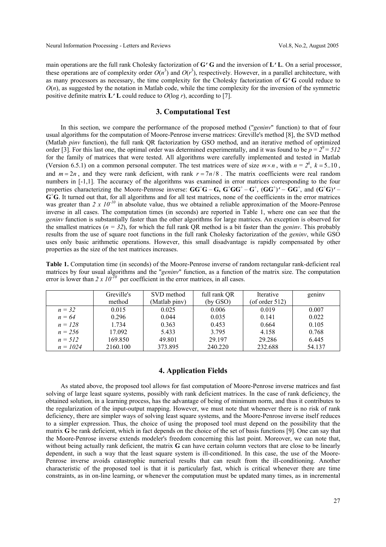main operations are the full rank Cholesky factorization of **G**'**G** and the inversion of **L**'**L**. On a serial processor, these operations are of complexity order  $O(n^3)$  and  $O(r^3)$ , respectively. However, in a parallel architecture, with as many processors as necessary, the time complexity for the Cholesky factorization of **G**'**G** could reduce to  $O(n)$ , as suggested by the notation in Matlab code, while the time complexity for the inversion of the symmetric positive definite matrix  $\mathbf{L}' \mathbf{L}$  could reduce to  $O(\log r)$ , according to [7].

### **3. Computational Test**

In this section, we compare the performance of the proposed method ("*geninv*" function) to that of four usual algorithms for the computation of Moore-Penrose inverse matrices: Greville's method [8], the SVD method (Matlab *pinv* function), the full rank QR factorization by GSO method, and an iterative method of optimized order [3]. For this last one, the optimal order was determined experimentally, and it was found to be  $p = 2^9 = 512$ for the family of matrices that were tested. All algorithms were carefully implemented and tested in Matlab (Version 6.5.1) on a common personal computer. The test matrices were of size  $m \times n$ , with  $n = 2^k$ ,  $k = 5.10$ , and  $m = 2n$ , and they were rank deficient, with rank  $r = \frac{7n}{8}$ . The matrix coefficients were real random numbers in [-1,1]. The accuracy of the algorithms was examined in error matrices corresponding to the four properties characterizing the Moore-Penrose inverse:  $GG^+G - G$ ,  $G^+GG^+ - G^+$ ,  $(GG^+)' - GG^+$ , and  $(G^+G)' -$ **G**+ **G**. It turned out that, for all algorithms and for all test matrices, none of the coefficients in the error matrices was greater than 2 x  $10^{-10}$  in absolute value, thus we obtained a reliable approximation of the Moore-Penrose inverse in all cases. The computation times (in seconds) are reported in Table 1, where one can see that the *geninv* function is substantially faster than the other algorithms for large matrices. An exception is observed for the smallest matrices  $(n = 32)$ , for which the full rank QR method is a bit faster than the *geniny*. This probably results from the use of square root functions in the full rank Cholesky factorization of the *geninv*, while GSO uses only basic arithmetic operations. However, this small disadvantage is rapidly compensated by other properties as the size of the test matrices increases.

**Table 1.** Computation time (in seconds) of the Moore-Penrose inverse of random rectangular rank-deficient real matrices by four usual algorithms and the "*geninv*" function, as a function of the matrix size. The computation error is lower than  $2 \times 10^{-10}$  per coefficient in the error matrices, in all cases.

|            | Greville's | SVD method    | full rank QR | <b>Iterative</b>  | geniny |
|------------|------------|---------------|--------------|-------------------|--------|
|            | method     | (Matlab piny) | (by GSO)     | (of order $512$ ) |        |
| $n = 32$   | 0.015      | 0.025         | 0.006        | 0.019             | 0.007  |
| $n = 64$   | 0.296      | 0.044         | 0.035        | 0.141             | 0.022  |
| $n = 128$  | 1.734      | 0.363         | 0.453        | 0.664             | 0.105  |
| $n = 256$  | 17.092     | 5.433         | 3.795        | 4.158             | 0.768  |
| $n = 512$  | 169.850    | 49.801        | 29.197       | 29.286            | 6.445  |
| $n = 1024$ | 2160.100   | 373.895       | 240.220      | 232.688           | 54.137 |

### **4. Application Fields**

As stated above, the proposed tool allows for fast computation of Moore-Penrose inverse matrices and fast solving of large least square systems, possibly with rank deficient matrices. In the case of rank deficiency, the obtained solution, in a learning process, has the advantage of being of minimum norm, and thus it contributes to the regularization of the input-output mapping. However, we must note that whenever there is no risk of rank deficiency, there are simpler ways of solving least square systems, and the Moore-Penrose inverse itself reduces to a simpler expression. Thus, the choice of using the proposed tool must depend on the possibility that the matrix **G** be rank deficient, which in fact depends on the choice of the set of basis functions [9]. One can say that the Moore-Penrose inverse extends modeler's freedom concerning this last point. Moreover, we can note that, without being actually rank deficient, the matrix **G** can have certain column vectors that are close to be linearly dependent, in such a way that the least square system is ill-conditioned. In this case, the use of the Moore-Penrose inverse avoids catastrophic numerical results that can result from the ill-conditioning. Another characteristic of the proposed tool is that it is particularly fast, which is critical whenever there are time constraints, as in on-line learning, or whenever the computation must be updated many times, as in incremental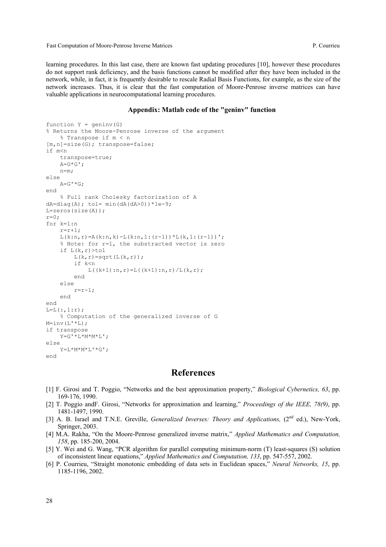Fast Computation of Moore-Penrose Inverse Matrices P. Courrieu

learning procedures. In this last case, there are known fast updating procedures [10], however these procedures do not support rank deficiency, and the basis functions cannot be modified after they have been included in the network, while, in fact, it is frequently desirable to rescale Radial Basis Functions, for example, as the size of the network increases. Thus, it is clear that the fast computation of Moore-Penrose inverse matrices can have valuable applications in neurocomputational learning procedures.

#### **Appendix: Matlab code of the "geninv" function**

```
function Y = geninv(G)% Returns the Moore-Penrose inverse of the argument 
     % Transpose if m < n 
[m,n]=size(G); transpose=false; 
if m<n 
     transpose=true; 
    A = G * G';
     n=m; 
else 
    A=G^{\top *}G;
end 
     % Full rank Cholesky factorization of A 
dA=diag(A); tol= min(dA(dA>0)) *1e-9;
L=zeros(size(A)); 
r=0;for k=1:n 
    r=r+1;
    L(k:n,r) = A(k:n,k) - L(k:n,1:(r-1)) * L(k,1:(r-1)) % Note: for r=1, the substracted vector is zero 
     if L(k,r)>tol 
         L(k, r)=sqrt(L(k, r));
          if k<n 
             L((k+1):n,r)=L((k+1):n,r)/L(k,r); end 
     else 
         r=r-1; end 
end 
L=L (:, 1:r);
      % Computation of the generalized inverse of G 
M=inv(L'*L);
if transpose 
    Y=G^{\dagger}*L*M*M*L';
else 
     Y=L*M*M*L'*G'; 
end
```
## **References**

- [1] F. Girosi and T. Poggio, "Networks and the best approximation property," *Biological Cybernetics, 63*, pp. 169-176, 1990.
- [2] T. Poggio andF. Girosi, "Networks for approximation and learning," *Proceedings of the IEEE, 78(9)*, pp. 1481-1497, 1990.
- [3] A. B. Israel and T.N.E. Greville, *Generalized Inverses: Theory and Applications,* (2nd ed.), New-York, Springer, 2003.
- [4] M.A. Rakha, "On the Moore-Penrose generalized inverse matrix," *Applied Mathematics and Computation, 158*, pp. 185-200, 2004.
- [5] Y. Wei and G. Wang, "PCR algorithm for parallel computing minimum-norm (T) least-squares (S) solution of inconsistent linear equations," *Applied Mathematics and Computation, 133*, pp. 547-557, 2002.
- [6] P. Courrieu, "Straight monotonic embedding of data sets in Euclidean spaces," *Neural Networks, 15*, pp. 1185-1196, 2002.